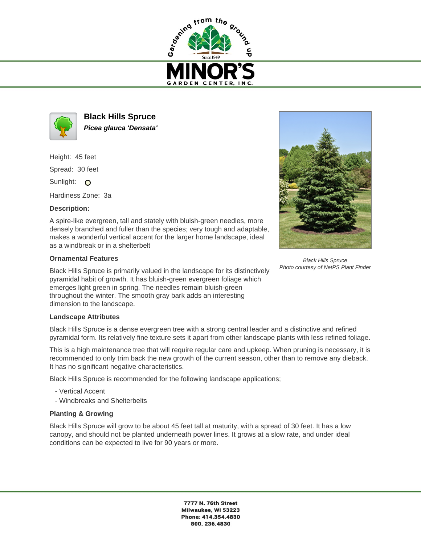



**Black Hills Spruce Picea glauca 'Densata'**

Height: 45 feet

Spread: 30 feet

Sunlight: O

Hardiness Zone: 3a

# **Description:**

A spire-like evergreen, tall and stately with bluish-green needles, more densely branched and fuller than the species; very tough and adaptable, makes a wonderful vertical accent for the larger home landscape, ideal as a windbreak or in a shelterbelt

# **Ornamental Features**

Black Hills Spruce is primarily valued in the landscape for its distinctively pyramidal habit of growth. It has bluish-green evergreen foliage which emerges light green in spring. The needles remain bluish-green throughout the winter. The smooth gray bark adds an interesting dimension to the landscape.

### **Landscape Attributes**

Black Hills Spruce is a dense evergreen tree with a strong central leader and a distinctive and refined pyramidal form. Its relatively fine texture sets it apart from other landscape plants with less refined foliage.

This is a high maintenance tree that will require regular care and upkeep. When pruning is necessary, it is recommended to only trim back the new growth of the current season, other than to remove any dieback. It has no significant negative characteristics.

Black Hills Spruce is recommended for the following landscape applications;

- Vertical Accent
- Windbreaks and Shelterbelts

# **Planting & Growing**

Black Hills Spruce will grow to be about 45 feet tall at maturity, with a spread of 30 feet. It has a low canopy, and should not be planted underneath power lines. It grows at a slow rate, and under ideal conditions can be expected to live for 90 years or more.



Black Hills Spruce Photo courtesy of NetPS Plant Finder